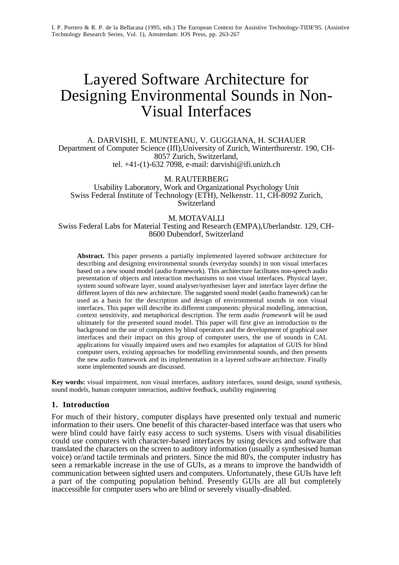# Layered Software Architecture for Designing Environmental Sounds in Non-Visual Interfaces

A. DARVISHI, E. MUNTEANU, V. GUGGIANA, H. SCHAUER Department of Computer Science (IfI),University of Zurich, Winterthurerstr. 190, CH-8057 Zurich, Switzerland, tel. +41-(1)-632 7098, e-mail: darvishi@ifi.unizh.ch

M. RAUTERBERG

Usability Laboratory, Work and Organizational Psychology Unit Swiss Federal Institute of Technology (ETH), Nelkenstr. 11, CH-8092 Zurich, **Switzerland** 

#### M. MOTAVALLI

Swiss Federal Labs for Material Testing and Research (EMPA),Uberlandstr. 129, CH-8600 Dubendorf, Switzerland

**Abstract.** This paper presents a partially implemented layered software architecture for describing and designing environmental sounds (everyday sounds) in non visual interfaces based on a new sound model (audio framework). This architecture facilitates non-speech audio presentation of objects and interaction mechanisms to non visual interfaces. Physical layer, system sound software layer, sound analyser/synthesiser layer and interface layer define the different layers of this new architecture. The suggested sound model (audio framework) can be used as a basis for the description and design of environmental sounds in non visual interfaces. This paper will describe its different components: physical modelling, interaction, context sensitivity, and metaphorical description. The term *audio framework* will be used ultimately for the presented sound model. This paper will first give an introduction to the background on the use of computers by blind operators and the development of graphical user interfaces and their impact on this group of computer users, the use of sounds in CAL applications for visually impaired users and two examples for adaptation of GUIS for blind computer users, existing approaches for modelling environmental sounds, and then presents the new audio framework and its implementation in a layered software architecture. Finally some implemented sounds are discussed.

**Key words:** visual impairment, non visual interfaces, auditory interfaces, sound design, sound synthesis, sound models, human computer interaction, auditive feedback, usability engineering

#### **1. Introduction**

For much of their history, computer displays have presented only textual and numeric information to their users. One benefit of this character-based interface was that users who were blind could have fairly easy access to such systems. Users with visual disabilities could use computers with character-based interfaces by using devices and software that translated the characters on the screen to auditory information (usually a synthesised human voice) or/and tactile terminals and printers. Since the mid 80's, the computer industry has seen a remarkable increase in the use of GUIs, as a means to improve the bandwidth of communication between sighted users and computers. Unfortunately, these GUIs have left a part of the computing population behind. Presently GUIs are all but completely inaccessible for computer users who are blind or severely visually-disabled.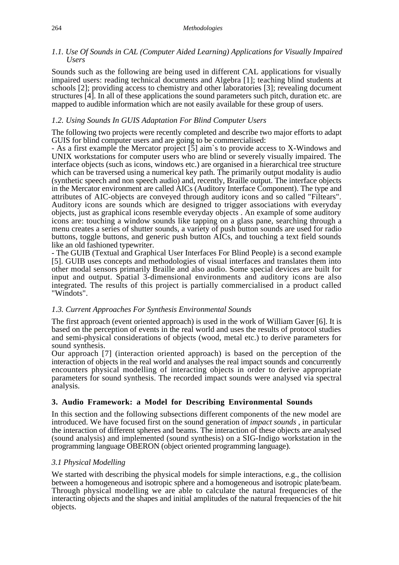#### *1.1. Use Of Sounds in CAL (Computer Aided Learning) Applications for Visually Impaired Users*

Sounds such as the following are being used in different CAL applications for visually impaired users: reading technical documents and Algebra [1]; teaching blind students at schools [2]; providing access to chemistry and other laboratories [3]; revealing document structures [4]. In all of these applications the sound parameters such pitch, duration etc. are mapped to audible information which are not easily available for these group of users.

## *1.2. Using Sounds In GUIS Adaptation For Blind Computer Users*

The following two projects were recently completed and describe two major efforts to adapt GUIS for blind computer users and are going to be commercialised:

- As a first example the Mercator project [5] aim`s to provide access to X-Windows and UNIX workstations for computer users who are blind or severely visually impaired. The interface objects (such as icons, windows etc.) are organised in a hierarchical tree structure which can be traversed using a numerical key path. The primarily output modality is audio (synthetic speech and non speech audio) and, recently, Braille output. The interface objects in the Mercator environment are called AICs (Auditory Interface Component). The type and attributes of AIC-objects are conveyed through auditory icons and so called "Filtears". Auditory icons are sounds which are designed to trigger associations with everyday objects, just as graphical icons resemble everyday objects . An example of some auditory icons are: touching a window sounds like tapping on a glass pane, searching through a menu creates a series of shutter sounds, a variety of push button sounds are used for radio buttons, toggle buttons, and generic push button AICs, and touching a text field sounds like an old fashioned typewriter.

- The GUIB (Textual and Graphical User Interfaces For Blind People) is a second example [5]. GUIB uses concepts and methodologies of visual interfaces and translates them into other modal sensors primarily Braille and also audio. Some special devices are built for input and output. Spatial 3-dimensional environments and auditory icons are also integrated. The results of this project is partially commercialised in a product called "Windots".

#### *1.3. Current Approaches For Synthesis Environmental Sounds*

The first approach (event oriented approach) is used in the work of William Gaver [6]. It is based on the perception of events in the real world and uses the results of protocol studies and semi-physical considerations of objects (wood, metal etc.) to derive parameters for sound synthesis.

Our approach [7] (interaction oriented approach) is based on the perception of the interaction of objects in the real world and analyses the real impact sounds and concurrently encounters physical modelling of interacting objects in order to derive appropriate parameters for sound synthesis. The recorded impact sounds were analysed via spectral analysis.

# **3. Audio Framework: a Model for Describing Environmental Sounds**

In this section and the following subsections different components of the new model are introduced. We have focused first on the sound generation of *impact sounds* , in particular the interaction of different spheres and beams. The interaction of these objects are analysed (sound analysis) and implemented (sound synthesis) on a SIG-Indigo workstation in the programming language OBERON (object oriented programming language).

# *3.1 Physical Modelling*

We started with describing the physical models for simple interactions, e.g., the collision between a homogeneous and isotropic sphere and a homogeneous and isotropic plate/beam. Through physical modelling we are able to calculate the natural frequencies of the interacting objects and the shapes and initial amplitudes of the natural frequencies of the hit objects.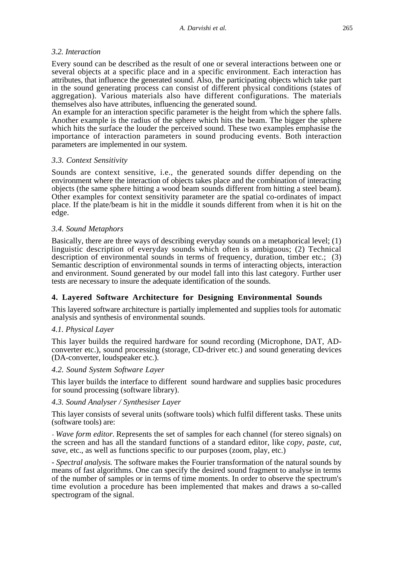## *3.2. Interaction*

Every sound can be described as the result of one or several interactions between one or several objects at a specific place and in a specific environment. Each interaction has attributes, that influence the generated sound. Also, the participating objects which take part in the sound generating process can consist of different physical conditions (states of aggregation). Various materials also have different configurations. The materials themselves also have attributes, influencing the generated sound.

An example for an interaction specific parameter is the height from which the sphere falls. Another example is the radius of the sphere which hits the beam. The bigger the sphere which hits the surface the louder the perceived sound. These two examples emphasise the importance of interaction parameters in sound producing events. Both interaction parameters are implemented in our system.

## *3.3. Context Sensitivity*

Sounds are context sensitive, i.e., the generated sounds differ depending on the environment where the interaction of objects takes place and the combination of interacting objects (the same sphere hitting a wood beam sounds different from hitting a steel beam). Other examples for context sensitivity parameter are the spatial co-ordinates of impact place. If the plate/beam is hit in the middle it sounds different from when it is hit on the edge.

## *3.4. Sound Metaphors*

Basically, there are three ways of describing everyday sounds on a metaphorical level; (1) linguistic description of everyday sounds which often is ambiguous; (2) Technical description of environmental sounds in terms of frequency, duration, timber etc.; (3) Semantic description of environmental sounds in terms of interacting objects, interaction and environment. Sound generated by our model fall into this last category. Further user tests are necessary to insure the adequate identification of the sounds.

# **4. Layered Software Architecture for Designing Environmental Sounds**

This layered software architecture is partially implemented and supplies tools for automatic analysis and synthesis of environmental sounds.

# *4.1. Physical Layer*

This layer builds the required hardware for sound recording (Microphone, DAT, ADconverter etc.), sound processing (storage, CD-driver etc.) and sound generating devices (DA-converter, loudspeaker etc.).

#### *4.2. Sound System Software Layer*

This layer builds the interface to different sound hardware and supplies basic procedures for sound processing (software library).

#### *4.3. Sound Analyser / Synthesiser Layer*

This layer consists of several units (software tools) which fulfil different tasks. These units (software tools) are:

- *Wave form editor.* Represents the set of samples for each channel (for stereo signals) on the screen and has all the standard functions of a standard editor, like *copy, paste, cut, save*, etc., as well as functions specific to our purposes (zoom, play, etc.)

*- Spectral analysis.* The software makes the Fourier transformation of the natural sounds by means of fast algorithms. One can specify the desired sound fragment to analyse in terms of the number of samples or in terms of time moments. In order to observe the spectrum's time evolution a procedure has been implemented that makes and draws a so-called spectrogram of the signal.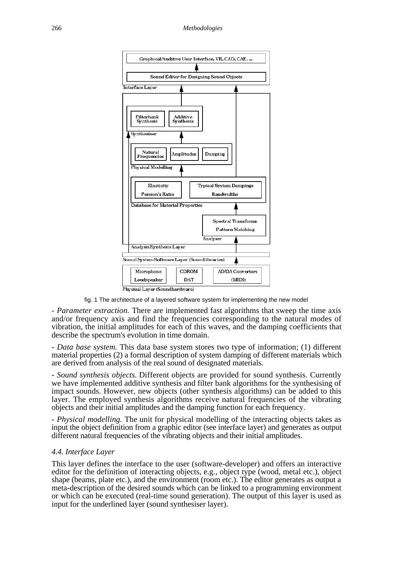

fig. 1 The architecture of a layered software system for implementing the new model

*- Parameter extraction.* There are implemented fast algorithms that sweep the time axis and/or frequency axis and find the frequencies corresponding to the natural modes of vibration, the initial amplitudes for each of this waves, and the damping coefficients that describe the spectrum's evolution in time domain.

*- Data base system.* This data base system stores two type of information; (1) different material properties (2) a formal description of system damping of different materials which are derived from analysis of the real sound of designated materials.

*- Sound synthesis objects.* Different objects are provided for sound synthesis. Currently we have implemented additive synthesis and filter bank algorithms for the synthesising of impact sounds. However, new objects (other synthesis algorithms) can be added to this layer. The employed synthesis algorithms receive natural frequencies of the vibrating objects and their initial amplitudes and the damping function for each frequency.

*- Physical modelling.* The unit for physical modelling of the interacting objects takes as input the object definition from a graphic editor (see interface layer) and generates as output different natural frequencies of the vibrating objects and their initial amplitudes.

#### *4.4. Interface Layer*

This layer defines the interface to the user (software-developer) and offers an interactive editor for the definition of interacting objects, e.g., object type (wood, metal etc.), object shape (beams, plate etc.), and the environment (room etc.). The editor generates as output a meta-description of the desired sounds which can be linked to a programming environment or which can be executed (real-time sound generation). The output of this layer is used as input for the underlined layer (sound synthesiser layer).